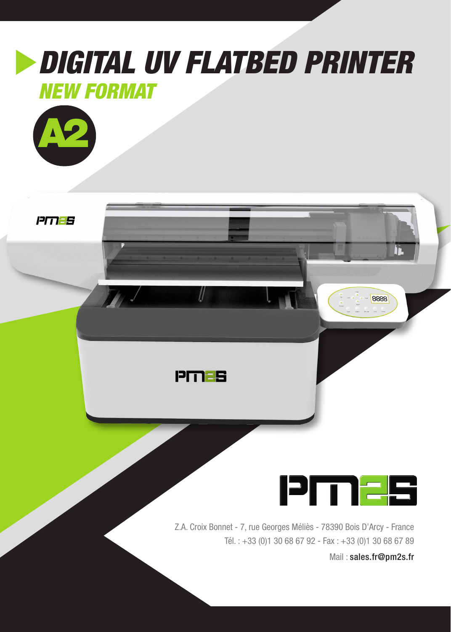

Z.A. Croix Bonnet - 7, rue Georges Méliès - 78390 Bois D'Arcy - France Tél. : +33 (0)1 30 68 67 92 - Fax : +33 (0)1 30 68 67 89

Mail : sales.fr@pm2s.fr